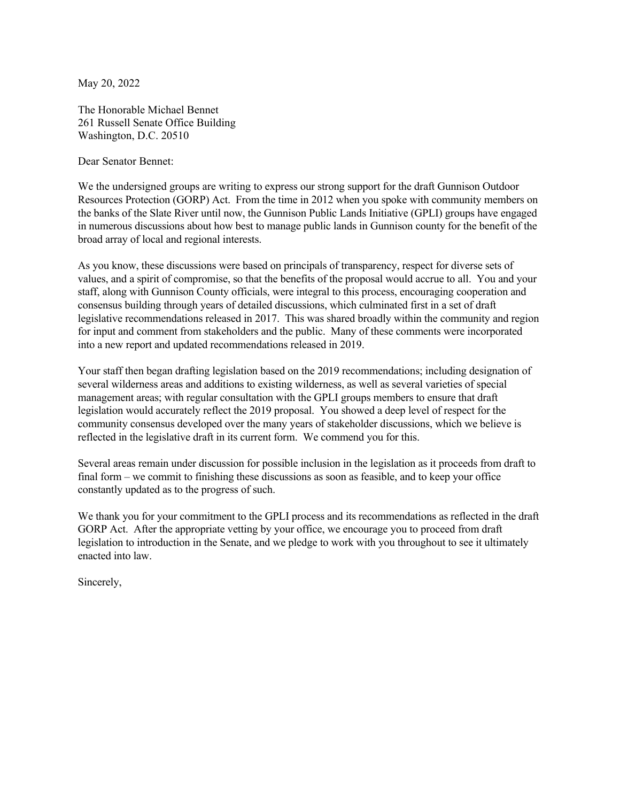May 20, 2022

The Honorable Michael Bennet 261 Russell Senate Office Building Washington, D.C. 20510

Dear Senator Bennet:

We the undersigned groups are writing to express our strong support for the draft Gunnison Outdoor Resources Protection (GORP) Act. From the time in 2012 when you spoke with community members on the banks of the Slate River until now, the Gunnison Public Lands Initiative (GPLI) groups have engaged in numerous discussions about how best to manage public lands in Gunnison county for the benefit of the broad array of local and regional interests.

As you know, these discussions were based on principals of transparency, respect for diverse sets of values, and a spirit of compromise, so that the benefits of the proposal would accrue to all. You and your staff, along with Gunnison County officials, were integral to this process, encouraging cooperation and consensus building through years of detailed discussions, which culminated first in a set of draft legislative recommendations released in 2017. This was shared broadly within the community and region for input and comment from stakeholders and the public. Many of these comments were incorporated into a new report and updated recommendations released in 2019.

Your staff then began drafting legislation based on the 2019 recommendations; including designation of several wilderness areas and additions to existing wilderness, as well as several varieties of special management areas; with regular consultation with the GPLI groups members to ensure that draft legislation would accurately reflect the 2019 proposal. You showed a deep level of respect for the community consensus developed over the many years of stakeholder discussions, which we believe is reflected in the legislative draft in its current form. We commend you for this.

Several areas remain under discussion for possible inclusion in the legislation as it proceeds from draft to final form – we commit to finishing these discussions as soon as feasible, and to keep your office constantly updated as to the progress of such.

We thank you for your commitment to the GPLI process and its recommendations as reflected in the draft GORP Act. After the appropriate vetting by your office, we encourage you to proceed from draft legislation to introduction in the Senate, and we pledge to work with you throughout to see it ultimately enacted into law.

Sincerely,